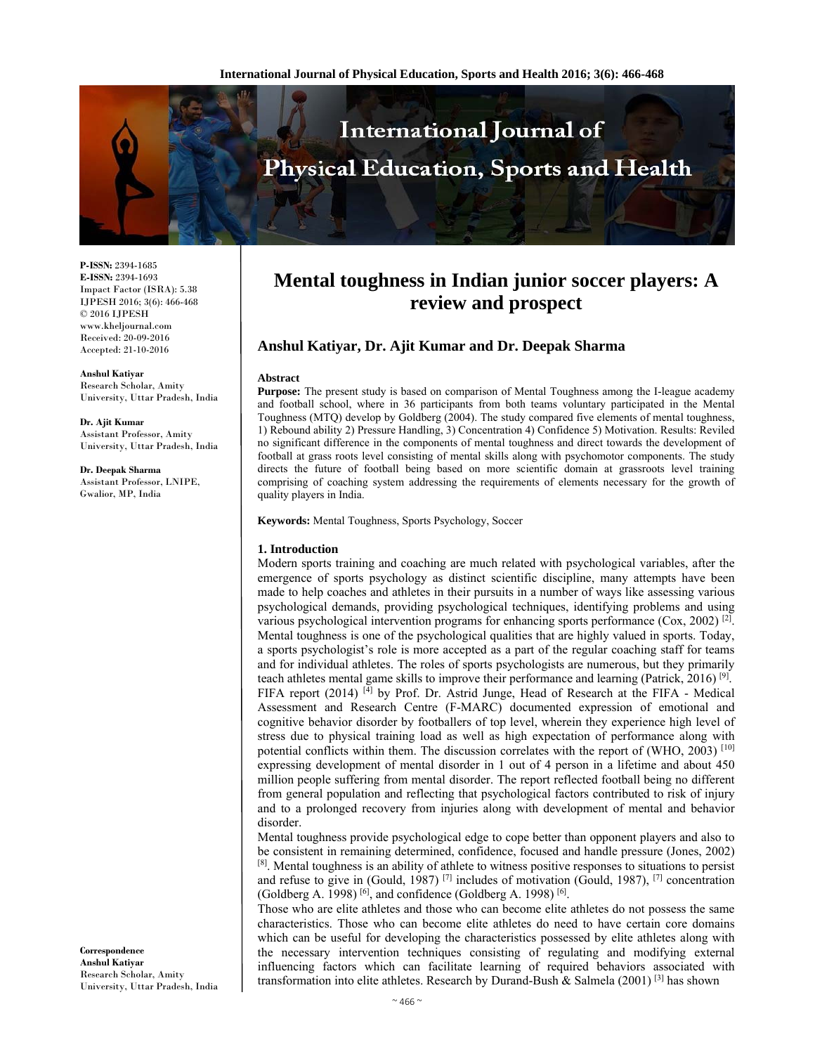

**P-ISSN:** 2394-1685 **E-ISSN:** 2394-1693 Impact Factor (ISRA): 5.38 IJPESH 2016; 3(6): 466-468 © 2016 IJPESH www.kheljournal.com Received: 20-09-2016 Accepted: 21-10-2016

**Anshul Katiyar** Research Scholar, Amity University, Uttar Pradesh, India

**Dr. Ajit Kumar**  Assistant Professor, Amity University, Uttar Pradesh, India

**Dr. Deepak Sharma**  Assistant Professor, LNIPE, Gwalior, MP, India

**Correspondence Anshul Katiyar** Research Scholar, Amity University, Uttar Pradesh, India

# **Mental toughness in Indian junior soccer players: A review and prospect**

# **Anshul Katiyar, Dr. Ajit Kumar and Dr. Deepak Sharma**

#### **Abstract**

**Purpose:** The present study is based on comparison of Mental Toughness among the I-league academy and football school, where in 36 participants from both teams voluntary participated in the Mental Toughness (MTQ) develop by Goldberg (2004). The study compared five elements of mental toughness, 1) Rebound ability 2) Pressure Handling, 3) Concentration 4) Confidence 5) Motivation. Results: Reviled no significant difference in the components of mental toughness and direct towards the development of football at grass roots level consisting of mental skills along with psychomotor components. The study directs the future of football being based on more scientific domain at grassroots level training comprising of coaching system addressing the requirements of elements necessary for the growth of quality players in India.

**Keywords:** Mental Toughness, Sports Psychology, Soccer

### **1. Introduction**

Modern sports training and coaching are much related with psychological variables, after the emergence of sports psychology as distinct scientific discipline, many attempts have been made to help coaches and athletes in their pursuits in a number of ways like assessing various psychological demands, providing psychological techniques, identifying problems and using various psychological intervention programs for enhancing sports performance  $(Cox, 2002)^{[2]}$ . Mental toughness is one of the psychological qualities that are highly valued in sports. Today, a sports psychologist's role is more accepted as a part of the regular coaching staff for teams and for individual athletes. The roles of sports psychologists are numerous, but they primarily teach athletes mental game skills to improve their performance and learning (Patrick, 2016) <sup>[9]</sup>. FIFA report (2014) [4] by Prof. Dr. Astrid Junge, Head of Research at the FIFA - Medical Assessment and Research Centre (F-MARC) documented expression of emotional and cognitive behavior disorder by footballers of top level, wherein they experience high level of stress due to physical training load as well as high expectation of performance along with potential conflicts within them. The discussion correlates with the report of (WHO, 2003)<sup>[10]</sup> expressing development of mental disorder in 1 out of 4 person in a lifetime and about 450 million people suffering from mental disorder. The report reflected football being no different from general population and reflecting that psychological factors contributed to risk of injury and to a prolonged recovery from injuries along with development of mental and behavior disorder.

Mental toughness provide psychological edge to cope better than opponent players and also to be consistent in remaining determined, confidence, focused and handle pressure (Jones, 2002) [8]. Mental toughness is an ability of athlete to witness positive responses to situations to persist

and refuse to give in (Gould, 1987) [7] includes of motivation (Gould, 1987), [7] concentration (Goldberg A. 1998)  $[6]$ , and confidence (Goldberg A. 1998)  $[6]$ .

Those who are elite athletes and those who can become elite athletes do not possess the same characteristics. Those who can become elite athletes do need to have certain core domains which can be useful for developing the characteristics possessed by elite athletes along with the necessary intervention techniques consisting of regulating and modifying external influencing factors which can facilitate learning of required behaviors associated with transformation into elite athletes. Research by Durand-Bush & Salmela (2001) <sup>[3]</sup> has shown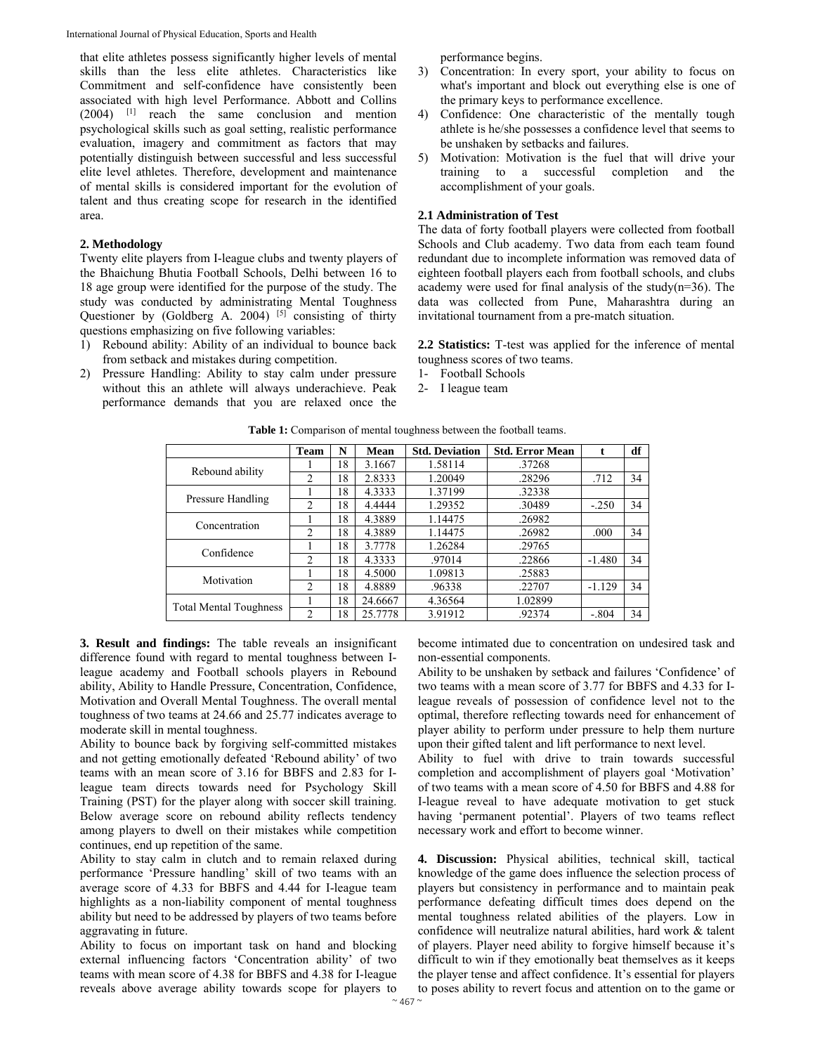that elite athletes possess significantly higher levels of mental skills than the less elite athletes. Characteristics like Commitment and self-confidence have consistently been associated with high level Performance. Abbott and Collins (2004) [1] reach the same conclusion and mention psychological skills such as goal setting, realistic performance evaluation, imagery and commitment as factors that may potentially distinguish between successful and less successful elite level athletes. Therefore, development and maintenance of mental skills is considered important for the evolution of talent and thus creating scope for research in the identified area.

### **2. Methodology**

Twenty elite players from I-league clubs and twenty players of the Bhaichung Bhutia Football Schools, Delhi between 16 to 18 age group were identified for the purpose of the study. The study was conducted by administrating Mental Toughness Questioner by (Goldberg A. 2004)  $[5]$  consisting of thirty questions emphasizing on five following variables:

- 1) Rebound ability: Ability of an individual to bounce back from setback and mistakes during competition.
- 2) Pressure Handling: Ability to stay calm under pressure without this an athlete will always underachieve. Peak performance demands that you are relaxed once the

performance begins.

- 3) Concentration: In every sport, your ability to focus on what's important and block out everything else is one of the primary keys to performance excellence.
- 4) Confidence: One characteristic of the mentally tough athlete is he/she possesses a confidence level that seems to be unshaken by setbacks and failures.
- 5) Motivation: Motivation is the fuel that will drive your training to a successful completion and the accomplishment of your goals.

#### **2.1 Administration of Test**

The data of forty football players were collected from football Schools and Club academy. Two data from each team found redundant due to incomplete information was removed data of eighteen football players each from football schools, and clubs academy were used for final analysis of the study( $n=36$ ). The data was collected from Pune, Maharashtra during an invitational tournament from a pre-match situation.

**2.2 Statistics:** T-test was applied for the inference of mental toughness scores of two teams.

- 1- Football Schools
- 2- I league team

|                               | <b>Team</b>    | N  | Mean    | <b>Std. Deviation</b> | <b>Std. Error Mean</b> | t        | df |
|-------------------------------|----------------|----|---------|-----------------------|------------------------|----------|----|
| Rebound ability               |                | 18 | 3.1667  | 1.58114               | .37268                 |          |    |
|                               | 2              | 18 | 2.8333  | 1.20049               | .28296                 | .712     | 34 |
| Pressure Handling             |                | 18 | 4.3333  | 1.37199               | .32338                 |          |    |
|                               | $\overline{c}$ | 18 | 4.4444  | 1.29352               | .30489                 | $-.250$  | 34 |
| Concentration                 |                | 18 | 4.3889  | 1.14475               | .26982                 |          |    |
|                               | 2              | 18 | 4.3889  | 1.14475               | .26982                 | .000     | 34 |
| Confidence                    |                | 18 | 3.7778  | 1.26284               | .29765                 |          |    |
|                               | $\overline{2}$ | 18 | 4.3333  | .97014                | .22866                 | $-1.480$ | 34 |
| Motivation                    |                | 18 | 4.5000  | 1.09813               | .25883                 |          |    |
|                               | $\mathfrak{D}$ | 18 | 4.8889  | .96338                | .22707                 | $-1.129$ | 34 |
| <b>Total Mental Toughness</b> |                | 18 | 24.6667 | 4.36564               | 1.02899                |          |    |
|                               | $\overline{c}$ | 18 | 25.7778 | 3.91912               | .92374                 | $-.804$  | 34 |

Table 1: Comparison of mental toughness between the football teams.

**3. Result and findings:** The table reveals an insignificant difference found with regard to mental toughness between Ileague academy and Football schools players in Rebound ability, Ability to Handle Pressure, Concentration, Confidence, Motivation and Overall Mental Toughness. The overall mental toughness of two teams at 24.66 and 25.77 indicates average to moderate skill in mental toughness.

Ability to bounce back by forgiving self-committed mistakes and not getting emotionally defeated 'Rebound ability' of two teams with an mean score of 3.16 for BBFS and 2.83 for Ileague team directs towards need for Psychology Skill Training (PST) for the player along with soccer skill training. Below average score on rebound ability reflects tendency among players to dwell on their mistakes while competition continues, end up repetition of the same.

Ability to stay calm in clutch and to remain relaxed during performance 'Pressure handling' skill of two teams with an average score of 4.33 for BBFS and 4.44 for I-league team highlights as a non-liability component of mental toughness ability but need to be addressed by players of two teams before aggravating in future.

Ability to focus on important task on hand and blocking external influencing factors 'Concentration ability' of two teams with mean score of 4.38 for BBFS and 4.38 for I-league reveals above average ability towards scope for players to become intimated due to concentration on undesired task and non-essential components.

Ability to be unshaken by setback and failures 'Confidence' of two teams with a mean score of 3.77 for BBFS and 4.33 for Ileague reveals of possession of confidence level not to the optimal, therefore reflecting towards need for enhancement of player ability to perform under pressure to help them nurture upon their gifted talent and lift performance to next level.

Ability to fuel with drive to train towards successful completion and accomplishment of players goal 'Motivation' of two teams with a mean score of 4.50 for BBFS and 4.88 for I-league reveal to have adequate motivation to get stuck having 'permanent potential'. Players of two teams reflect necessary work and effort to become winner.

**4. Discussion:** Physical abilities, technical skill, tactical knowledge of the game does influence the selection process of players but consistency in performance and to maintain peak performance defeating difficult times does depend on the mental toughness related abilities of the players. Low in confidence will neutralize natural abilities, hard work & talent of players. Player need ability to forgive himself because it's difficult to win if they emotionally beat themselves as it keeps the player tense and affect confidence. It's essential for players to poses ability to revert focus and attention on to the game or